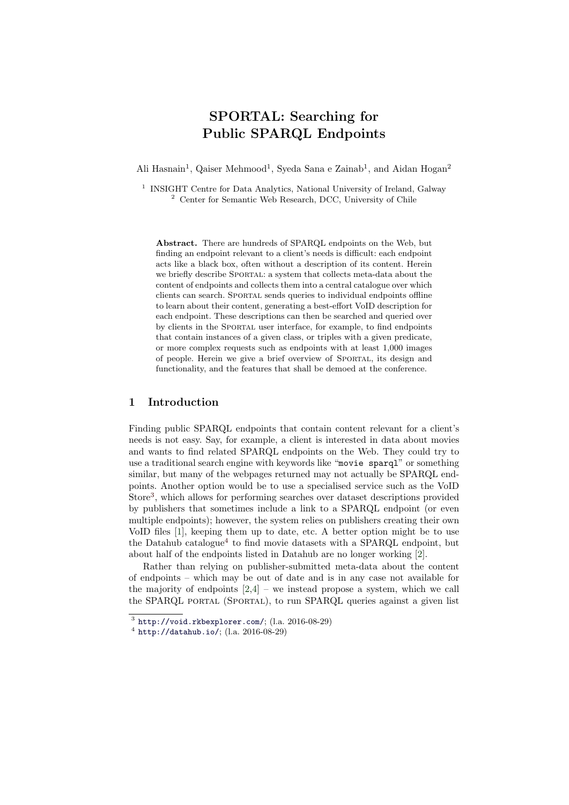# SPORTAL: Searching for Public SPARQL Endpoints

Ali Hasnain<sup>1</sup>, Qaiser Mehmood<sup>1</sup>, Syeda Sana e Zainab<sup>1</sup>, and Aidan Hogan<sup>2</sup>

<sup>1</sup> INSIGHT Centre for Data Analytics, National University of Ireland, Galway <sup>2</sup> Center for Semantic Web Research, DCC, University of Chile

Abstract. There are hundreds of SPARQL endpoints on the Web, but finding an endpoint relevant to a client's needs is difficult: each endpoint acts like a black box, often without a description of its content. Herein we briefly describe Sportal: a system that collects meta-data about the content of endpoints and collects them into a central catalogue over which clients can search. Sportal sends queries to individual endpoints offline to learn about their content, generating a best-effort VoID description for each endpoint. These descriptions can then be searched and queried over by clients in the Sportal user interface, for example, to find endpoints that contain instances of a given class, or triples with a given predicate, or more complex requests such as endpoints with at least 1,000 images of people. Herein we give a brief overview of Sportal, its design and functionality, and the features that shall be demoed at the conference.

## 1 Introduction

Finding public SPARQL endpoints that contain content relevant for a client's needs is not easy. Say, for example, a client is interested in data about movies and wants to find related SPARQL endpoints on the Web. They could try to use a traditional search engine with keywords like "movie sparql" or something similar, but many of the webpages returned may not actually be SPARQL endpoints. Another option would be to use a specialised service such as the VoID Store[3](#page-0-0) , which allows for performing searches over dataset descriptions provided by publishers that sometimes include a link to a SPARQL endpoint (or even multiple endpoints); however, the system relies on publishers creating their own VoID files [\[1\]](#page-3-0), keeping them up to date, etc. A better option might be to use the Datahub catalogue<sup>[4](#page-0-1)</sup> to find movie datasets with a SPARQL endpoint, but about half of the endpoints listed in Datahub are no longer working [\[2\]](#page-3-1).

Rather than relying on publisher-submitted meta-data about the content of endpoints – which may be out of date and is in any case not available for the majority of endpoints  $[2,4]$  $[2,4]$  – we instead propose a system, which we call the SPARQL portal (Sportal), to run SPARQL queries against a given list

<span id="page-0-0"></span> $^3$  <http://void.rkbexplorer.com/>; (l.a. 2016-08-29)

<span id="page-0-1"></span> $^4$  <http://datahub.io/>; (l.a. 2016-08-29)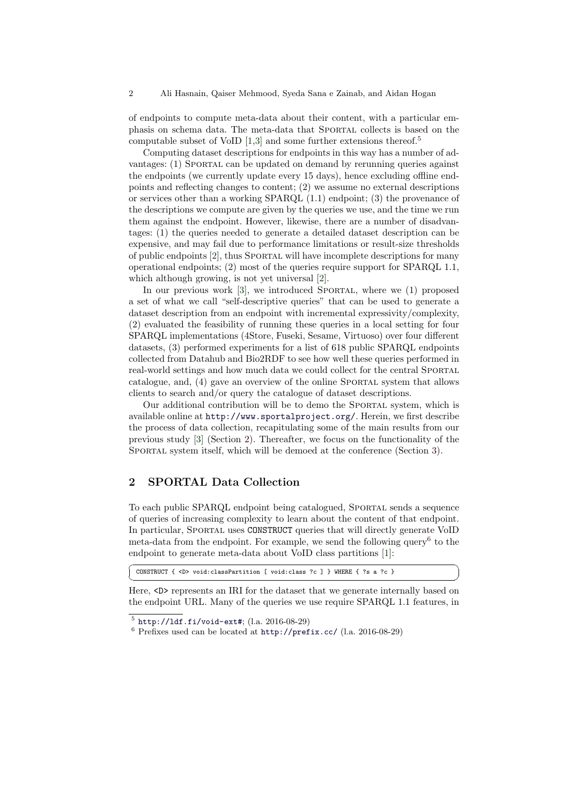of endpoints to compute meta-data about their content, with a particular emphasis on schema data. The meta-data that Sportal collects is based on the computable subset of VoID  $[1,3]$  $[1,3]$  and some further extensions thereof.<sup>[5](#page-1-0)</sup>

Computing dataset descriptions for endpoints in this way has a number of advantages: (1) Sportal can be updated on demand by rerunning queries against the endpoints (we currently update every 15 days), hence excluding offline endpoints and reflecting changes to content; (2) we assume no external descriptions or services other than a working SPARQL (1.1) endpoint; (3) the provenance of the descriptions we compute are given by the queries we use, and the time we run them against the endpoint. However, likewise, there are a number of disadvantages: (1) the queries needed to generate a detailed dataset description can be expensive, and may fail due to performance limitations or result-size thresholds of public endpoints [\[2\]](#page-3-1), thus Sportal will have incomplete descriptions for many operational endpoints; (2) most of the queries require support for SPARQL 1.1, which although growing, is not yet universal [\[2\]](#page-3-1).

In our previous work [\[3\]](#page-3-3), we introduced Sportal, where we (1) proposed a set of what we call "self-descriptive queries" that can be used to generate a dataset description from an endpoint with incremental expressivity/complexity, (2) evaluated the feasibility of running these queries in a local setting for four SPARQL implementations (4Store, Fuseki, Sesame, Virtuoso) over four different datasets, (3) performed experiments for a list of 618 public SPARQL endpoints collected from Datahub and Bio2RDF to see how well these queries performed in real-world settings and how much data we could collect for the central Sportal catalogue, and, (4) gave an overview of the online Sportal system that allows clients to search and/or query the catalogue of dataset descriptions.

Our additional contribution will be to demo the Sportal system, which is available online at <http://www.sportalproject.org/>. Herein, we first describe the process of data collection, recapitulating some of the main results from our previous study [\[3\]](#page-3-3) (Section [2\)](#page-1-1). Thereafter, we focus on the functionality of the Sportal system itself, which will be demoed at the conference (Section [3\)](#page-2-0).

### <span id="page-1-1"></span>2 SPORTAL Data Collection

To each public SPARQL endpoint being catalogued, Sportal sends a sequence of queries of increasing complexity to learn about the content of that endpoint. In particular, Sportal uses CONSTRUCT queries that will directly generate VoID meta-data from the endpoint. For example, we send the following query<sup>[6](#page-1-2)</sup> to the endpoint to generate meta-data about VoID class partitions [\[1\]](#page-3-0):

| CONSTRUCT $\{ \langle D \rangle \}$ void: class Partition $\lceil$ void: class ?c $\rceil$ $\}$ WHERE $\{$ ?s a ?c $\}$ |  |
|-------------------------------------------------------------------------------------------------------------------------|--|
|                                                                                                                         |  |
|                                                                                                                         |  |

Here,  $\langle D \rangle$  represents an IRI for the dataset that we generate internally based on the endpoint URL. Many of the queries we use require SPARQL 1.1 features, in

<span id="page-1-0"></span> $^5$  <http://ldf.fi/void-ext#>; (l.a. 2016-08-29)

<span id="page-1-2"></span> $^6$  Prefixes used can be located at  $http://prefix.cc/$  (l.a. 2016-08-29)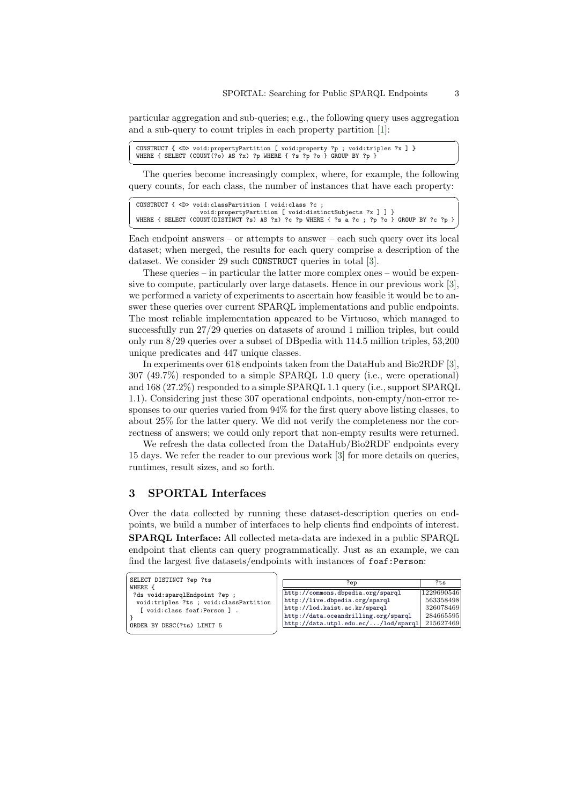particular aggregation and sub-queries; e.g., the following query uses aggregation and a sub-query to count triples in each property partition [\[1\]](#page-3-0):

```
✞ ☎
CONSTRUCT { <D> void:propertyPartition [ void:property ?p ; void:triples ?x ] }
 WHERE { SELECT (COUNT(?o) AS ?x) ?p WHERE { ?s ?p ?o } GROUP BY ?p }
\begin{pmatrix} 1 & 1 & 1 \\ 1 & 1 & 1 \\ 1 & 1 & 1 \end{pmatrix}
```
The queries become increasingly complex, where, for example, the following query counts, for each class, the number of instances that have each property:

| CONSTRUCT { <d> void:classPartition [ void:class ?c ;</d>                                                                                               |  |  |  |
|---------------------------------------------------------------------------------------------------------------------------------------------------------|--|--|--|
| void: propertyPartition [ void: distinctSubjects ?x ] ] }<br>WHERE { SELECT (COUNT(DISTINCT ?s) AS ?x) ?c ?p WHERE { ?s a ?c ; ?p ?o } GROUP BY ?c ?p } |  |  |  |
|                                                                                                                                                         |  |  |  |

Each endpoint answers – or attempts to answer – each such query over its local dataset; when merged, the results for each query comprise a description of the dataset. We consider 29 such CONSTRUCT queries in total [\[3\]](#page-3-3).

These queries – in particular the latter more complex ones – would be expensive to compute, particularly over large datasets. Hence in our previous work [\[3\]](#page-3-3), we performed a variety of experiments to ascertain how feasible it would be to answer these queries over current SPARQL implementations and public endpoints. The most reliable implementation appeared to be Virtuoso, which managed to successfully run 27/29 queries on datasets of around 1 million triples, but could only run 8/29 queries over a subset of DBpedia with 114.5 million triples, 53,200 unique predicates and 447 unique classes.

In experiments over 618 endpoints taken from the DataHub and Bio2RDF [\[3\]](#page-3-3), 307 (49.7%) responded to a simple SPARQL 1.0 query (i.e., were operational) and 168 (27.2%) responded to a simple SPARQL 1.1 query (i.e., support SPARQL 1.1). Considering just these 307 operational endpoints, non-empty/non-error responses to our queries varied from 94% for the first query above listing classes, to about 25% for the latter query. We did not verify the completeness nor the correctness of answers; we could only report that non-empty results were returned.

We refresh the data collected from the DataHub/Bio2RDF endpoints every 15 days. We refer the reader to our previous work [\[3\]](#page-3-3) for more details on queries, runtimes, result sizes, and so forth.

### <span id="page-2-0"></span>3 SPORTAL Interfaces

Over the data collected by running these dataset-description queries on endpoints, we build a number of interfaces to help clients find endpoints of interest. SPARQL Interface: All collected meta-data are indexed in a public SPARQL endpoint that clients can query programmatically. Just as an example, we can find the largest five datasets/endpoints with instances of foaf:Person:

| SELECT DISTINCT ?ep ?ts                |  |
|----------------------------------------|--|
| WHERE {                                |  |
| ?ds void:sparqlEndpoint ?ep ;          |  |
| void:triples ?ts ; void:classPartition |  |
| [ void:class foaf:Person ] .           |  |
|                                        |  |
| ORDER BY DESC(?ts) LIMIT 5             |  |
|                                        |  |

| ?ep                                  | ?ts        |
|--------------------------------------|------------|
| http://commons.dbpedia.org/sparql    | 1229690546 |
| http://live.dbpedia.org/sparql       | 563358498  |
| http://lod.kaist.ac.kr/sparql        | 326078469  |
| http://data.oceandrilling.org/sparql | 284665595  |
| http://data.utpl.edu.ec//lod/sparql  | 215627469  |